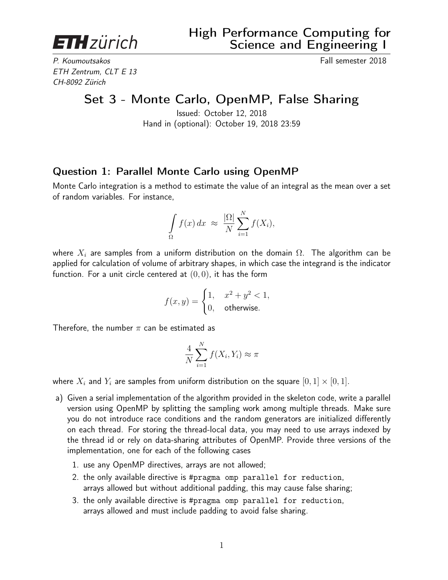<span id="page-0-0"></span>**ETH**zürich

P. Koumoutsakos **Fall semester 2018** ETH Zentrum, CLT E 13 CH-8092 Zürich

Set 3 - Monte Carlo, OpenMP, False Sharing

Issued: October 12, 2018 Hand in (optional): October 19, 2018 23:59

## Question 1: Parallel Monte Carlo using OpenMP

Monte Carlo integration is a method to estimate the value of an integral as the mean over a set of random variables. For instance,

$$
\int_{\Omega} f(x) dx \approx \frac{|\Omega|}{N} \sum_{i=1}^{N} f(X_i),
$$

where  $X_i$  are samples from a uniform distribution on the domain  $\Omega$ . The algorithm can be applied for calculation of volume of arbitrary shapes, in which case the integrand is the indicator function. For a unit circle centered at  $(0, 0)$ , it has the form

$$
f(x,y) = \begin{cases} 1, & x^2 + y^2 < 1, \\ 0, & \text{otherwise.} \end{cases}
$$

Therefore, the number  $\pi$  can be estimated as

$$
\frac{4}{N} \sum_{i=1}^{N} f(X_i, Y_i) \approx \pi
$$

where  $X_i$  and  $Y_i$  are samples from uniform distribution on the square  $[0, 1] \times [0, 1]$ .

- a) Given a serial implementation of the algorithm provided in the skeleton code, write a parallel version using OpenMP by splitting the sampling work among multiple threads. Make sure you do not introduce race conditions and the random generators are initialized differently on each thread. For storing the thread-local data, you may need to use arrays indexed by the thread id or rely on data-sharing attributes of OpenMP. Provide three versions of the implementation, one for each of the following cases
	- 1. use any OpenMP directives, arrays are not allowed;
	- 2. the only available directive is #pragma omp parallel for reduction, arrays allowed but without additional padding, this may cause false sharing;
	- 3. the only available directive is #pragma omp parallel for reduction, arrays allowed and must include padding to avoid false sharing.